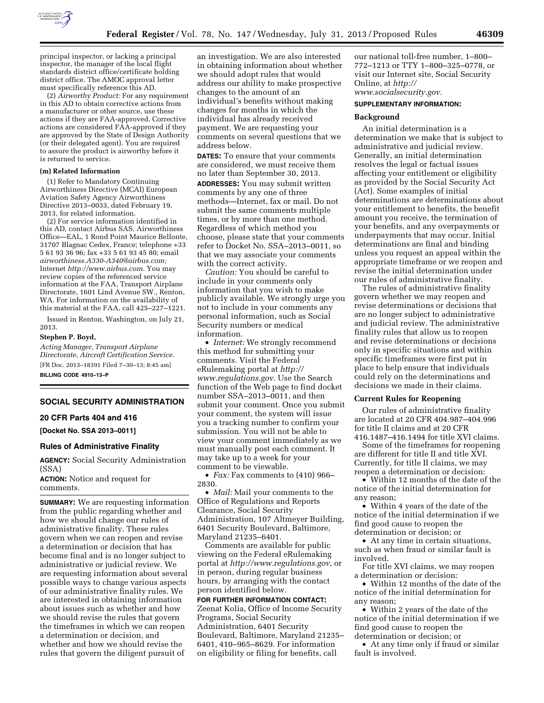

principal inspector, or lacking a principal inspector, the manager of the local flight standards district office/certificate holding district office. The AMOC approval letter must specifically reference this AD.

(2) *Airworthy Product:* For any requirement in this AD to obtain corrective actions from a manufacturer or other source, use these actions if they are FAA-approved. Corrective actions are considered FAA-approved if they are approved by the State of Design Authority (or their delegated agent). You are required to assure the product is airworthy before it is returned to service.

# **(m) Related Information**

(1) Refer to Mandatory Continuing Airworthiness Directive (MCAI) European Aviation Safety Agency Airworthiness Directive 2013–0033, dated February 19, 2013, for related information.

(2) For service information identified in this AD, contact Airbus SAS, Airworthiness Office—EAL, 1 Rond Point Maurice Bellonte, 31707 Blagnac Cedex, France; telephone +33 5 61 93 36 96; fax +33 5 61 93 45 80; email *[airworthiness.A330-A340@airbus.com;](mailto:airworthiness.A330-A340@airbus.com)*  Internet *<http://www.airbus.com>*. You may review copies of the referenced service information at the FAA, Transport Airplane Directorate, 1601 Lind Avenue SW., Renton, WA. For information on the availability of this material at the FAA, call 425–227–1221.

Issued in Renton, Washington, on July 21, 2013.

#### **Stephen P. Boyd,**

*Acting Manager, Transport Airplane Directorate, Aircraft Certification Service.*  [FR Doc. 2013–18391 Filed 7–30–13; 8:45 am] **BILLING CODE 4910–13–P** 

# **SOCIAL SECURITY ADMINISTRATION**

# **20 CFR Parts 404 and 416**

**[Docket No. SSA 2013–0011]** 

#### **Rules of Administrative Finality**

**AGENCY:** Social Security Administration (SSA)

**ACTION:** Notice and request for comments.

**SUMMARY:** We are requesting information from the public regarding whether and how we should change our rules of administrative finality. These rules govern when we can reopen and revise a determination or decision that has become final and is no longer subject to administrative or judicial review. We are requesting information about several possible ways to change various aspects of our administrative finality rules. We are interested in obtaining information about issues such as whether and how we should revise the rules that govern the timeframes in which we can reopen a determination or decision, and whether and how we should revise the rules that govern the diligent pursuit of

an investigation. We are also interested in obtaining information about whether we should adopt rules that would address our ability to make prospective changes to the amount of an individual's benefits without making changes for months in which the individual has already received payment. We are requesting your comments on several questions that we address below.

**DATES:** To ensure that your comments are considered, we must receive them no later than September 30, 2013. **ADDRESSES:** You may submit written comments by any one of three methods—Internet, fax or mail. Do not submit the same comments multiple times, or by more than one method. Regardless of which method you choose, please state that your comments refer to Docket No. SSA–2013–0011, so that we may associate your comments with the correct activity.

*Caution:* You should be careful to include in your comments only information that you wish to make publicly available. We strongly urge you not to include in your comments any personal information, such as Social Security numbers or medical information.

• *Internet:* We strongly recommend this method for submitting your comments. Visit the Federal eRulemaking portal at *[http://](http://www.regulations.gov)  [www.regulations.gov.](http://www.regulations.gov)* Use the Search function of the Web page to find docket number SSA–2013–0011, and then submit your comment. Once you submit your comment, the system will issue you a tracking number to confirm your submission. You will not be able to view your comment immediately as we must manually post each comment. It may take up to a week for your comment to be viewable.

• *Fax:* Fax comments to (410) 966– 2830.

• *Mail:* Mail your comments to the Office of Regulations and Reports Clearance, Social Security Administration, 107 Altmeyer Building, 6401 Security Boulevard, Baltimore, Maryland 21235–6401.

Comments are available for public viewing on the Federal eRulemaking portal at *[http://www.regulations.gov,](http://www.regulations.gov)* or in person, during regular business hours, by arranging with the contact person identified below.

**FOR FURTHER INFORMATION CONTACT:**  Zeenat Kolia, Office of Income Security Programs, Social Security Administration, 6401 Security Boulevard, Baltimore, Maryland 21235– 6401, 410–965–8629. For information on eligibility or filing for benefits, call

our national toll-free number, 1–800– 772–1213 or TTY 1–800–325–0778, or visit our Internet site, Social Security Online, at *[http://](http://www.socialsecurity.gov)  [www.socialsecurity.gov.](http://www.socialsecurity.gov)* 

### **SUPPLEMENTARY INFORMATION:**

## **Background**

An initial determination is a determination we make that is subject to administrative and judicial review. Generally, an initial determination resolves the legal or factual issues affecting your entitlement or eligibility as provided by the Social Security Act (Act). Some examples of initial determinations are determinations about your entitlement to benefits, the benefit amount you receive, the termination of your benefits, and any overpayments or underpayments that may occur. Initial determinations are final and binding unless you request an appeal within the appropriate timeframe or we reopen and revise the initial determination under our rules of administrative finality.

The rules of administrative finality govern whether we may reopen and revise determinations or decisions that are no longer subject to administrative and judicial review. The administrative finality rules that allow us to reopen and revise determinations or decisions only in specific situations and within specific timeframes were first put in place to help ensure that individuals could rely on the determinations and decisions we made in their claims.

### **Current Rules for Reopening**

Our rules of administrative finality are located at 20 CFR 404.987–404.996 for title II claims and at 20 CFR 416.1487–416.1494 for title XVI claims.

Some of the timeframes for reopening are different for title II and title XVI. Currently, for title II claims, we may reopen a determination or decision:

• Within 12 months of the date of the notice of the initial determination for any reason;

• Within 4 years of the date of the notice of the initial determination if we find good cause to reopen the determination or decision; or

• At any time in certain situations, such as when fraud or similar fault is involved.

For title XVI claims, we may reopen a determination or decision:

• Within 12 months of the date of the notice of the initial determination for any reason;

• Within 2 years of the date of the notice of the initial determination if we find good cause to reopen the determination or decision; or

• At any time only if fraud or similar fault is involved.